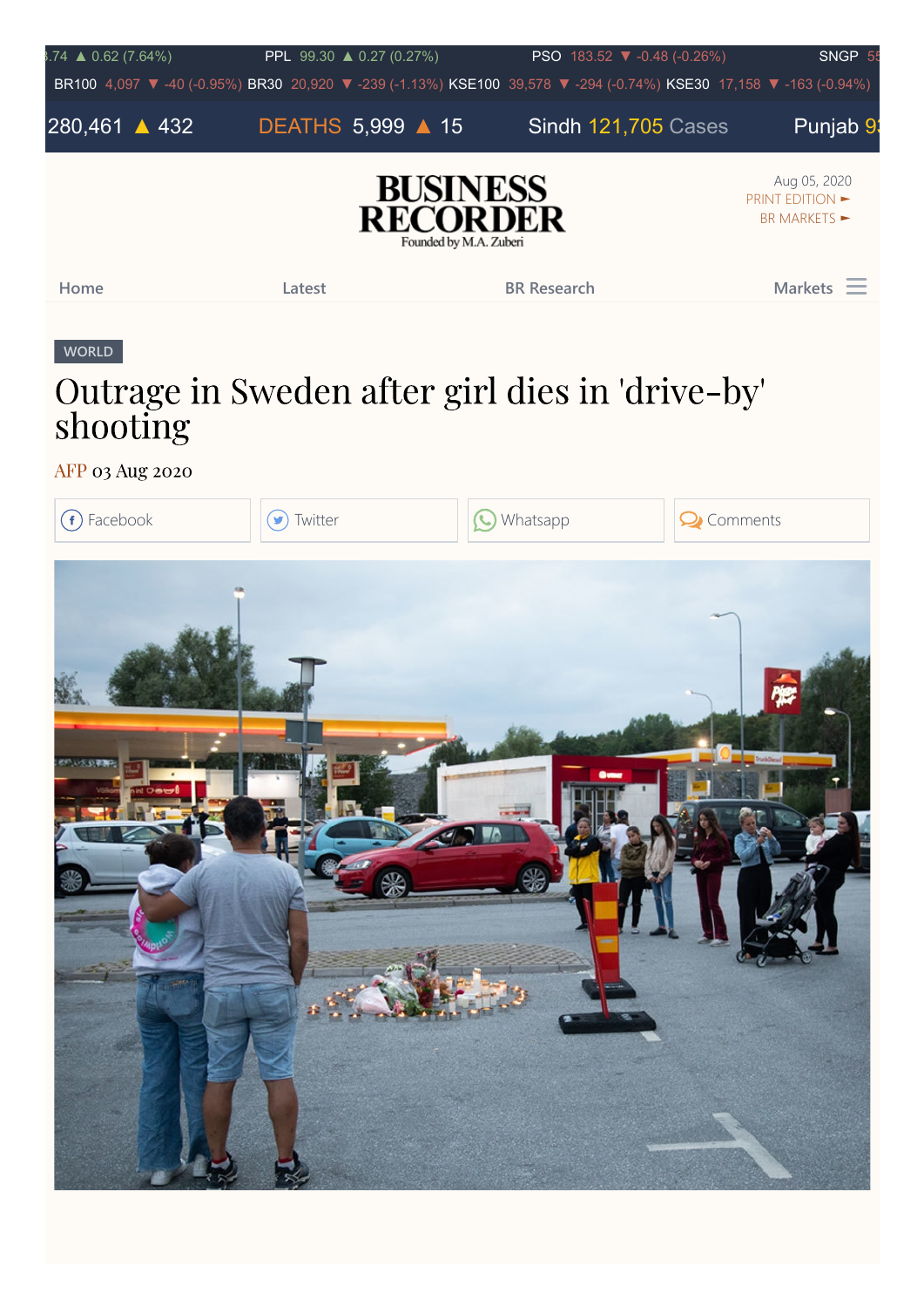

## [Outrage in Sweden after girl dies in 'drive-by'](https://www.brecorder.com/news/40009406/outrage-in-sweden-after-girl-dies-in-drive-by-shooting) shooting

[AFP](https://www.brecorder.com/authors/76221/afp) 03 Aug 2020